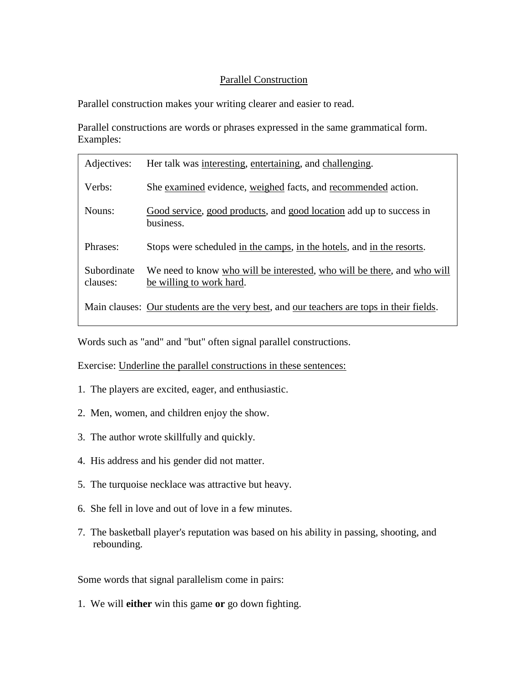## Parallel Construction

Parallel construction makes your writing clearer and easier to read.

Parallel constructions are words or phrases expressed in the same grammatical form. Examples:

| Adjectives:             | Her talk was interesting, entertaining, and challenging.                                            |
|-------------------------|-----------------------------------------------------------------------------------------------------|
| Verbs:                  | She examined evidence, weighed facts, and recommended action.                                       |
| Nouns:                  | Good service, good products, and good location add up to success in<br>business.                    |
| Phrases:                | Stops were scheduled in the camps, in the hotels, and in the resorts.                               |
| Subordinate<br>clauses: | We need to know who will be interested, who will be there, and who will<br>be willing to work hard. |
|                         | Main clauses: Our students are the very best, and our teachers are tops in their fields.            |

Words such as "and" and "but" often signal parallel constructions.

Exercise: Underline the parallel constructions in these sentences:

- 1. The players are excited, eager, and enthusiastic.
- 2. Men, women, and children enjoy the show.
- 3. The author wrote skillfully and quickly.
- 4. His address and his gender did not matter.
- 5. The turquoise necklace was attractive but heavy.
- 6. She fell in love and out of love in a few minutes.
- 7. The basketball player's reputation was based on his ability in passing, shooting, and rebounding.

Some words that signal parallelism come in pairs:

1. We will **either** win this game **or** go down fighting.